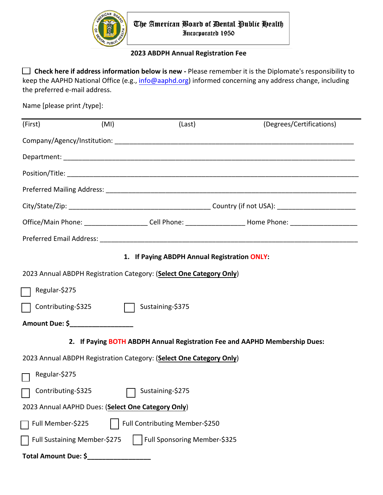

## **2023 ABDPH Annual Registration Fee**

 **Check here if address information below is new -** Please remember it is the Diplomate's responsibility to keep the AAPHD National Office (e.g., [info@aaphd.org\)](mailto:info@aaphd.org) informed concerning any address change, including the preferred e-mail address.

Name [please print /type]:

| (First)                                                                    | (MI) | (Last)           | (Degrees/Certifications)                                                                                       |  |  |  |
|----------------------------------------------------------------------------|------|------------------|----------------------------------------------------------------------------------------------------------------|--|--|--|
|                                                                            |      |                  |                                                                                                                |  |  |  |
|                                                                            |      |                  |                                                                                                                |  |  |  |
|                                                                            |      |                  |                                                                                                                |  |  |  |
|                                                                            |      |                  |                                                                                                                |  |  |  |
|                                                                            |      |                  |                                                                                                                |  |  |  |
|                                                                            |      |                  | Office/Main Phone: ________________________Cell Phone: _____________________Home Phone: ______________________ |  |  |  |
|                                                                            |      |                  |                                                                                                                |  |  |  |
| 1. If Paying ABDPH Annual Registration ONLY:                               |      |                  |                                                                                                                |  |  |  |
| 2023 Annual ABDPH Registration Category: (Select One Category Only)        |      |                  |                                                                                                                |  |  |  |
| Regular-\$275                                                              |      |                  |                                                                                                                |  |  |  |
| Contributing-\$325                                                         |      | Sustaining-\$375 |                                                                                                                |  |  |  |
| Amount Due: \$____________________                                         |      |                  |                                                                                                                |  |  |  |
| 2. If Paying BOTH ABDPH Annual Registration Fee and AAPHD Membership Dues: |      |                  |                                                                                                                |  |  |  |
| 2023 Annual ABDPH Registration Category: (Select One Category Only)        |      |                  |                                                                                                                |  |  |  |
| Regular-\$275                                                              |      |                  |                                                                                                                |  |  |  |
| Contributing-\$325                                                         |      | Sustaining-\$275 |                                                                                                                |  |  |  |
| 2023 Annual AAPHD Dues: (Select One Category Only)                         |      |                  |                                                                                                                |  |  |  |
| Full Member-\$225<br>Full Contributing Member-\$250                        |      |                  |                                                                                                                |  |  |  |
|                                                                            |      |                  |                                                                                                                |  |  |  |
| Full Sponsoring Member-\$325<br>Full Sustaining Member-\$275               |      |                  |                                                                                                                |  |  |  |
| Total Amount Due: \$                                                       |      |                  |                                                                                                                |  |  |  |